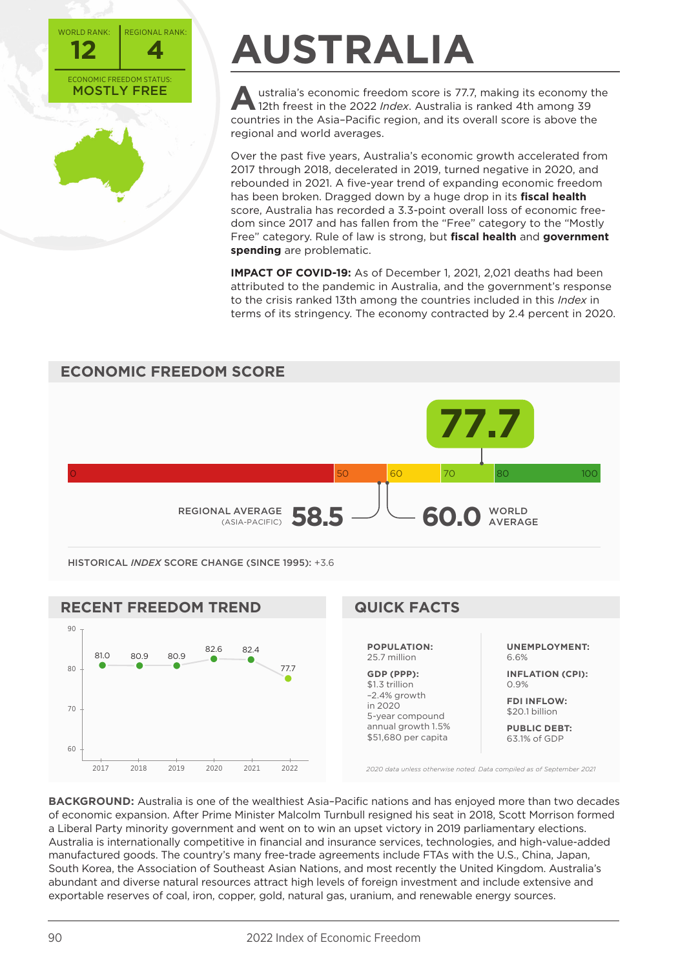



# **AUSTRALIA**

Australia's economic freedom score is 77.7, making its economy the 12th freest in the 2022 *Index*. Australia is ranked 4th among 39 countries in the Asia–Pacific region, and its overall score is above the regional and world averages.

Over the past five years, Australia's economic growth accelerated from 2017 through 2018, decelerated in 2019, turned negative in 2020, and rebounded in 2021. A five-year trend of expanding economic freedom has been broken. Dragged down by a huge drop in its **fiscal health** score, Australia has recorded a 3.3-point overall loss of economic freedom since 2017 and has fallen from the "Free" category to the "Mostly Free" category. Rule of law is strong, but **fiscal health** and **government spending** are problematic.

**IMPACT OF COVID-19:** As of December 1, 2021, 2,021 deaths had been attributed to the pandemic in Australia, and the government's response to the crisis ranked 13th among the countries included in this *Index* in terms of its stringency. The economy contracted by 2.4 percent in 2020.





**BACKGROUND:** Australia is one of the wealthiest Asia–Pacific nations and has enjoyed more than two decades of economic expansion. After Prime Minister Malcolm Turnbull resigned his seat in 2018, Scott Morrison formed a Liberal Party minority government and went on to win an upset victory in 2019 parliamentary elections. Australia is internationally competitive in financial and insurance services, technologies, and high-value-added manufactured goods. The country's many free-trade agreements include FTAs with the U.S., China, Japan, South Korea, the Association of Southeast Asian Nations, and most recently the United Kingdom. Australia's abundant and diverse natural resources attract high levels of foreign investment and include extensive and exportable reserves of coal, iron, copper, gold, natural gas, uranium, and renewable energy sources.